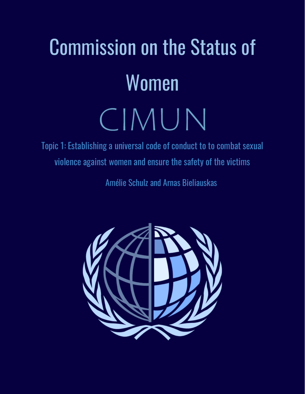# Commission on the Status of Women CIMUN

Topic 1: Establishing a universal code of conduct to to combat sexual violence against women and ensure the safety of the victims

Amélie Schulz and Arnas Bieliauskas

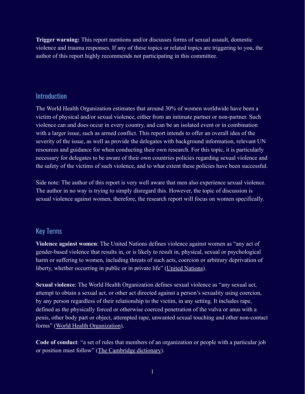**Trigger warning:** This report mentions and/or discusses forms of sexual assault, domestic violence and trauma responses. If any of these topics or related topics are triggering to you, the author of this report highly recommends not participating in this committee.

### Introduction

The World Health Organization estimates that around 30% of women worldwide have been a victim of physical and/or sexual violence, either from an intimate partner or non-partner. Such violence can and does occur in every country, and can be an isolated event or in combination with a larger issue, such as armed conflict. This report intends to offer an overall idea of the severity of the issue, as well as provide the delegates with background information, relevant UN resources and guidance for when conducting their own research. For this topic, it is particularly necessary for delegates to be aware of their own countries policies regarding sexual violence and the safety of the victims of such violence, and to what extent these policies have been successful.

Side note: The author of this report is very well aware that men also experience sexual violence. The author in no way is trying to simply disregard this. However, the topic of discussion is sexual violence against women, therefore, the research report will focus on women specifically.

# Key Terms

**Violence against women**: The United Nations defines violence against women as "any act of gender-based violence that results in, or is likely to result in, physical, sexual or psychological harm or suffering to women, including threats of such acts, coercion or arbitrary deprivation of liberty, whether occurring in public or in private life" [\(United Nations](https://www.ohchr.org/Documents/ProfessionalInterest/eliminationvaw.pdf)).

**Sexual violence**: The World Health Organization defines sexual violence as "any sexual act, attempt to obtain a sexual act, or other act directed against a person's sexuality using coercion, by any person regardless of their relationship to the victim, in any setting. It includes rape, defined as the physically forced or otherwise coerced penetration of the vulva or anus with a penis, other body part or object, attempted rape, unwanted sexual touching and other non-contact forms" [\(World Health Organization](https://www.who.int/news-room/fact-sheets/detail/violence-against-women)).

**Code of conduct**: "a set of [rules](https://dictionary.cambridge.org/dictionary/english/rule) that [members](https://dictionary.cambridge.org/dictionary/english/member) of an [organization](https://dictionary.cambridge.org/dictionary/english/organization) or [people](https://dictionary.cambridge.org/dictionary/english/people) with a [particular](https://dictionary.cambridge.org/dictionary/english/particular) [job](https://dictionary.cambridge.org/dictionary/english/job) or [position](https://dictionary.cambridge.org/dictionary/english/position) must [follow](https://dictionary.cambridge.org/dictionary/english/follow)" ([The Cambridge dictionary](https://dictionary.cambridge.org/dictionary/english/code-of-conduct)).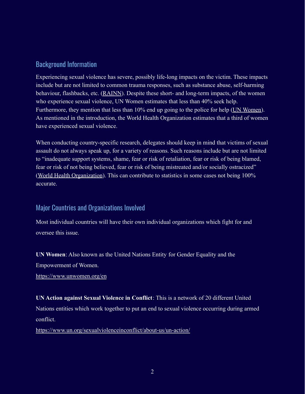# Background Information

Experiencing sexual violence has severe, possibly life-long impacts on the victim. These impacts include but are not limited to common trauma responses, such as substance abuse, self-harming behaviour, flashbacks, etc. [\(RAINN](https://www.rainn.org/effects-sexual-violence)). Despite these short- and long-term impacts, of the women who experience sexual violence, UN Women estimates that less than 40% seek help. Furthermore, they mention that less than 10% end up going to the police for help [\(UN Women\)](https://www.unwomen.org/en/what-we-do/ending-violence-against-women/facts-and-figures). As mentioned in the introduction, the World Health Organization estimates that a third of women have experienced sexual violence.

When conducting country-specific research, delegates should keep in mind that victims of sexual assault do not always speak up, for a variety of reasons. Such reasons include but are not limited to "inadequate support systems, shame, fear or risk of retaliation, fear or risk of being blamed, fear or risk of not being believed, fear or risk of being mistreated and/or socially ostracized" ([World Health Organization](https://apps.who.int/iris/bitstream/handle/10665/77434/WHO_RHR_12.37_eng.pdf?sequence=1)). This can contribute to statistics in some cases not being 100% accurate.

# Major Countries and Organizations Involved

Most individual countries will have their own individual organizations which fight for and oversee this issue.

**UN Women**: Also known as the United Nations Entity for Gender Equality and the Empowerment of Women.

<https://www.unwomen.org/en>

**UN Action against Sexual Violence in Conflict**: This is a network of 20 different United Nations entities which work together to put an end to sexual violence occurring during armed conflict.

<https://www.un.org/sexualviolenceinconflict/about-us/un-action/>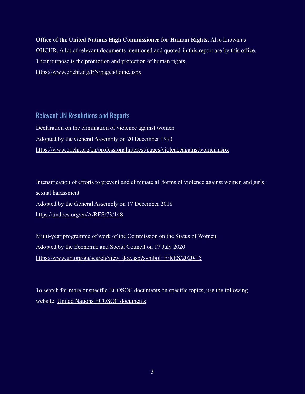**Office of the United Nations High Commissioner for Human Rights**: Also known as OHCHR. A lot of relevant documents mentioned and quoted in this report are by this office. Their purpose is the promotion and protection of human rights. <https://www.ohchr.org/EN/pages/home.aspx>

Relevant UN Resolutions and Reports Declaration on the elimination of violence against women Adopted by the General Assembly on 20 December 1993 <https://www.ohchr.org/en/professionalinterest/pages/violenceagainstwomen.aspx>

Intensification of efforts to prevent and eliminate all forms of violence against women and girls: sexual harassment Adopted by the General Assembly on 17 December 2018 <https://undocs.org/en/A/RES/73/148>

Multi-year programme of work of the Commission on the Status of Women Adopted by the Economic and Social Council on 17 July 2020 [https://www.un.org/ga/search/view\\_doc.asp?symbol=E/RES/2020/15](https://www.un.org/ga/search/view_doc.asp?symbol=E/RES/2020/15)

To search for more or specific ECOSOC documents on specific topics, use the following website: [United Nations ECOSOC documents](https://www.un.org/ecosoc/en/documents/search-documents)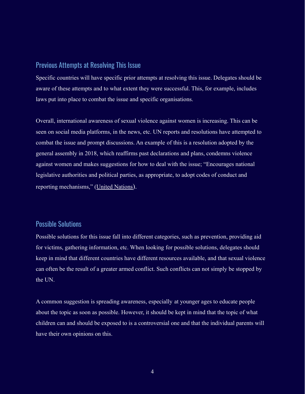#### Previous Attempts at Resolving This Issue

Specific countries will have specific prior attempts at resolving this issue. Delegates should be aware of these attempts and to what extent they were successful. This, for example, includes laws put into place to combat the issue and specific organisations.

Overall, international awareness of sexual violence against women is increasing. This can be seen on social media platforms, in the news, etc. UN reports and resolutions have attempted to combat the issue and prompt discussions. An example of this is a resolution adopted by the general assembly in 2018, which reaffirms past declarations and plans, condemns violence against women and makes suggestions for how to deal with the issue; "Encourages national legislative authorities and political parties, as appropriate, to adopt codes of conduct and reporting mechanisms," ([United Nations](https://undocs.org/en/A/RES/73/148)).

# Possible Solutions

Possible solutions for this issue fall into different categories, such as prevention, providing aid for victims, gathering information, etc. When looking for possible solutions, delegates should keep in mind that different countries have different resources available, and that sexual violence can often be the result of a greater armed conflict. Such conflicts can not simply be stopped by the UN.

A common suggestion is spreading awareness, especially at younger ages to educate people about the topic as soon as possible. However, it should be kept in mind that the topic of what children can and should be exposed to is a controversial one and that the individual parents will have their own opinions on this.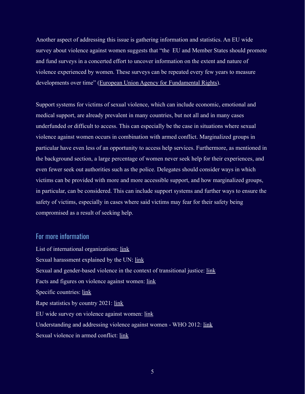Another aspect of addressing this issue is gathering information and statistics. An EU wide survey about violence against women suggests that "the EU and Member States should promote and fund surveys in a concerted effort to uncover information on the extent and nature of violence experienced by women. These surveys can be repeated every few years to measure developments over time" ([European Union Agency for](https://fra.europa.eu/sites/default/files/fra-2014-vaw-survey-at-a-glance-oct14_en.pdf) Fundamental Rights).

Support systems for victims of sexual violence, which can include economic, emotional and medical support, are already prevalent in many countries, but not all and in many cases underfunded or difficult to access. This can especially be the case in situations where sexual violence against women occurs in combination with armed conflict. Marginalized groups in particular have even less of an opportunity to access help services. Furthermore, as mentioned in the background section, a large percentage of women never seek help for their experiences, and even fewer seek out authorities such as the police. Delegates should consider ways in which victims can be provided with more and more accessible support, and how marginalized groups, in particular, can be considered. This can include support systems and further ways to ensure the safety of victims, especially in cases where said victims may fear for their safety being compromised as a result of seeking help.

#### For more information

List of international organizations: [link](https://www.rcne.com/links/international-organisations/) Sexual harassment explained by the UN: [link](https://www.un.org/womenwatch/osagi/pdf/whatissh.pdf) Sexual and gender-based violence in the context of transitional justice: [link](https://www.ohchr.org/documents/issues/women/wrgs/onepagers/sexual_and_gender-based_violence.pdf) Facts and figures on violence against women: [link](https://www.unwomen.org/en/what-we-do/ending-violence-against-women/facts-and-figures) Specific countries: [link](https://unstats.un.org/unsd/gender/vaw/) Rape statistics by country 2021: [link](https://worldpopulationreview.com/country-rankings/rape-statistics-by-country) EU wide survey on violence against women: [link](https://fra.europa.eu/sites/default/files/fra-2014-vaw-survey-at-a-glance-oct14_en.pdf) Understanding and addressing violence against women - WHO 2012: [link](https://apps.who.int/iris/bitstream/handle/10665/77434/WHO_RHR_12.37_eng.pdf?sequence=1) Sexual violence in armed conflict: [link](https://www.icrc.org/en/what-we-do/sexual-violence)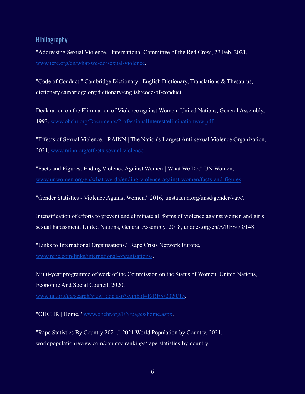## **Bibliography**

"Addressing Sexual Violence." International Committee of the Red Cross, 22 Feb. 2021, [www.icrc.org/en/what-we-do/sexual-violence.](http://www.icrc.org/en/what-we-do/sexual-violence)

"Code of Conduct." Cambridge Dictionary | English Dictionary, Translations & Thesaurus, dictionary.cambridge.org/dictionary/english/code-of-conduct.

Declaration on the Elimination of Violence against Women. United Nations, General Assembly, 1993, [www.ohchr.org/Documents/ProfessionalInterest/eliminationvaw.pdf](http://www.ohchr.org/Documents/ProfessionalInterest/eliminationvaw.pdf).

"Effects of Sexual Violence." RAINN | The Nation's Largest Anti-sexual Violence Organization, 2021, [www.rainn.org/effects-sexual-violence](http://www.rainn.org/effects-sexual-violence).

"Facts and Figures: Ending Violence Against Women | What We Do." UN Women, [www.unwomen.org/en/what-we-do/ending-violence-against-women/facts-and-figures](http://www.unwomen.org/en/what-we-do/ending-violence-against-women/facts-and-figures).

"Gender Statistics - Violence Against Women." 2016, unstats.un.org/unsd/gender/vaw/.

Intensification of efforts to prevent and eliminate all forms of violence against women and girls: sexual harassment. United Nations, General Assembly, 2018, undocs.org/en/A/RES/73/148.

"Links to International Organisations." Rape Crisis Network Europe, [www.rcne.com/links/international-organisations/](http://www.rcne.com/links/international-organisations/).

Multi-year programme of work of the Commission on the Status of Women. United Nations, Economic And Social Council, 2020,

[www.un.org/ga/search/view\\_doc.asp?symbol=E/RES/2020/15](http://www.un.org/ga/search/view_doc.asp?symbol=E/RES/2020/15).

"OHCHR | Home." [www.ohchr.org/EN/pages/home.aspx](http://www.ohchr.org/EN/pages/home.aspx).

"Rape Statistics By Country 2021." 2021 World Population by Country, 2021, worldpopulationreview.com/country-rankings/rape-statistics-by-country.